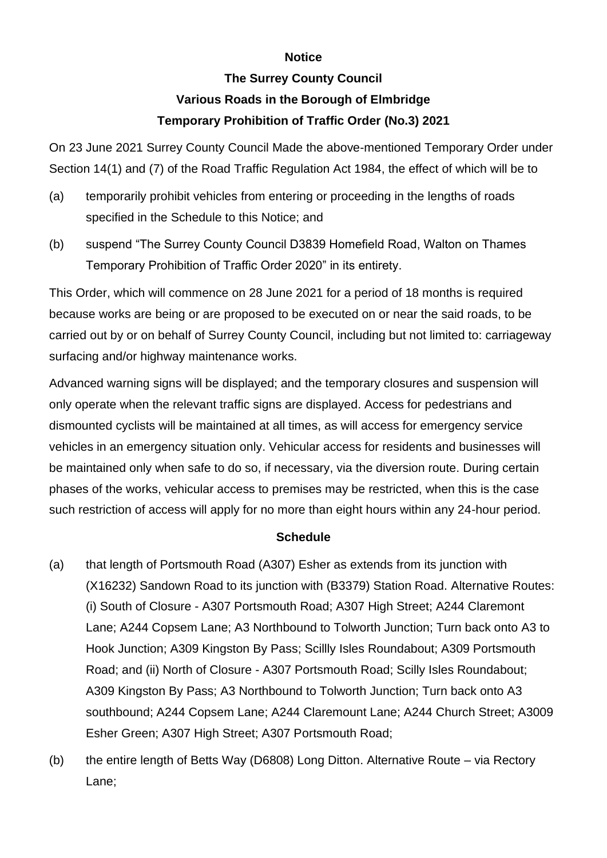## **Notice**

## **The Surrey County Council Various Roads in the Borough of Elmbridge Temporary Prohibition of Traffic Order (No.3) 2021**

On 23 June 2021 Surrey County Council Made the above-mentioned Temporary Order under Section 14(1) and (7) of the Road Traffic Regulation Act 1984, the effect of which will be to

- (a) temporarily prohibit vehicles from entering or proceeding in the lengths of roads specified in the Schedule to this Notice; and
- (b) suspend "The Surrey County Council D3839 Homefield Road, Walton on Thames Temporary Prohibition of Traffic Order 2020" in its entirety.

This Order, which will commence on 28 June 2021 for a period of 18 months is required because works are being or are proposed to be executed on or near the said roads, to be carried out by or on behalf of Surrey County Council, including but not limited to: carriageway surfacing and/or highway maintenance works.

Advanced warning signs will be displayed; and the temporary closures and suspension will only operate when the relevant traffic signs are displayed. Access for pedestrians and dismounted cyclists will be maintained at all times, as will access for emergency service vehicles in an emergency situation only. Vehicular access for residents and businesses will be maintained only when safe to do so, if necessary, via the diversion route. During certain phases of the works, vehicular access to premises may be restricted, when this is the case such restriction of access will apply for no more than eight hours within any 24-hour period.

## **Schedule**

- (a) that length of Portsmouth Road (A307) Esher as extends from its junction with (X16232) Sandown Road to its junction with (B3379) Station Road. Alternative Routes: (i) South of Closure - A307 Portsmouth Road; A307 High Street; A244 Claremont Lane; A244 Copsem Lane; A3 Northbound to Tolworth Junction; Turn back onto A3 to Hook Junction; A309 Kingston By Pass; Scillly Isles Roundabout; A309 Portsmouth Road; and (ii) North of Closure - A307 Portsmouth Road; Scilly Isles Roundabout; A309 Kingston By Pass; A3 Northbound to Tolworth Junction; Turn back onto A3 southbound; A244 Copsem Lane; A244 Claremount Lane; A244 Church Street; A3009 Esher Green; A307 High Street; A307 Portsmouth Road;
- (b) the entire length of Betts Way (D6808) Long Ditton. Alternative Route via Rectory Lane;